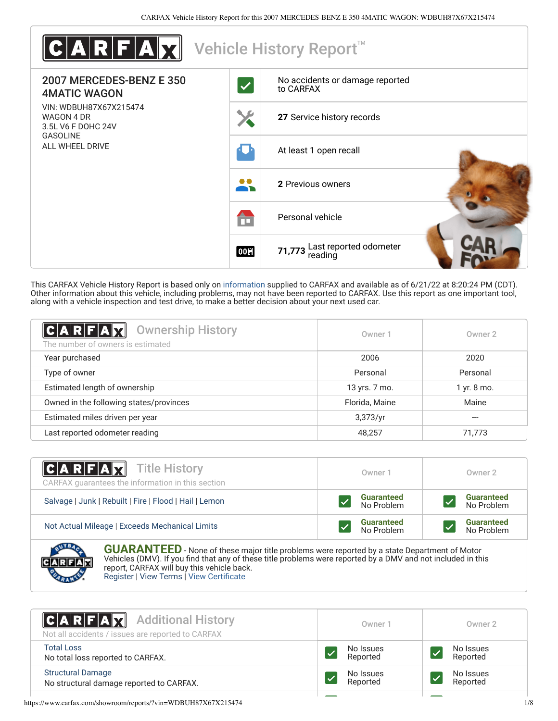

This CARFAX Vehicle History Report is based only on [information](http://www.carfax.com/company/vhr-data-sources) supplied to CARFAX and available as of 6/21/22 at 8:20:24 PM (CDT). Other information about this vehicle, including problems, may not have been reported to CARFAX. Use this report as one important tool, along with a vehicle inspection and test drive, to make a better decision about your next used car.

<span id="page-0-1"></span>

| <b>Ownership History</b><br>$ C $ A $ R F $ $X$<br>The number of owners is estimated | Owner 1        | Owner 2     |
|--------------------------------------------------------------------------------------|----------------|-------------|
| Year purchased                                                                       | 2006           | 2020        |
| Type of owner                                                                        | Personal       | Personal    |
| Estimated length of ownership                                                        | 13 yrs. 7 mo.  | 1 yr. 8 mo. |
| Owned in the following states/provinces                                              | Florida, Maine | Maine       |
| Estimated miles driven per year                                                      | 3,373/yr       |             |
| Last reported odometer reading                                                       | 48,257         | 71.773      |

| <b>CARFAX</b> Title History<br>CARFAX guarantees the information in this section | Owner 1                         | Owner 2                         |
|----------------------------------------------------------------------------------|---------------------------------|---------------------------------|
| Salvage   Junk   Rebuilt   Fire   Flood   Hail   Lemon                           | <b>Guaranteed</b><br>No Problem | <b>Guaranteed</b><br>No Problem |
| Not Actual Mileage   Exceeds Mechanical Limits                                   | <b>Guaranteed</b><br>No Problem | <b>Guaranteed</b><br>No Problem |
| <b>ALVEST</b>                                                                    |                                 |                                 |

**GUARANTEED** - None of these major title problems were reported by a state Department of Motor Vehicles (DMV). If you find that any of these title problems were reported by a DMV and not included in this report, CARFAX will buy this vehicle back. [Register](https://www.carfax.com/Service/bbg) | [View Terms](https://www.carfax.com/company/carfax-buyback-guarantee-terms-and-conditions) | [View Certificate](https://www.carfax.com/showroom/reports/?vin=WDBUH87X67X215474)

<span id="page-0-0"></span>

| <b>CARFAX</b> Additional History<br>Not all accidents / issues are reported to CARFAX | Owner 1               | Owner 2               |
|---------------------------------------------------------------------------------------|-----------------------|-----------------------|
| <b>Total Loss</b><br>No total loss reported to CARFAX.                                | No Issues<br>Reported | No Issues<br>Reported |
| <b>Structural Damage</b><br>No structural damage reported to CARFAX.                  | No Issues<br>Reported | No Issues<br>Reported |
|                                                                                       |                       |                       |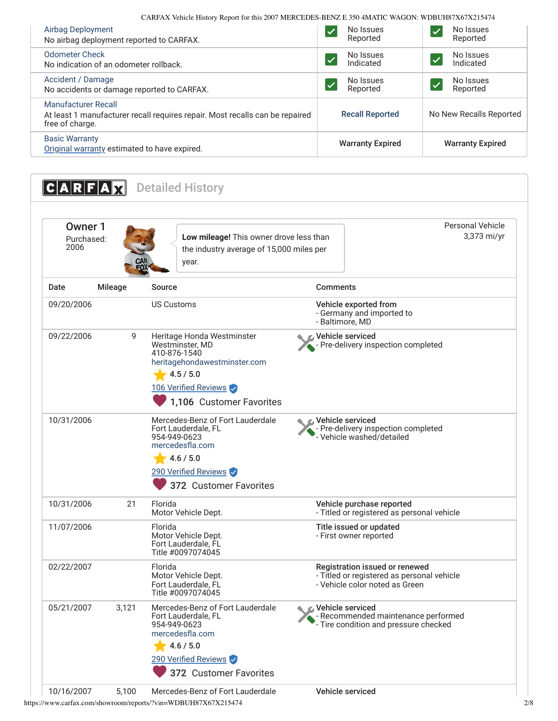6/21/22, 9:23 PM CARFAX Vehicle History Report for this 2007 MERCEDES-BENZ E 350 4MATIC WAGON: WDBUH87X67X215474

| Airbag Deployment                                                                                                             | No Issues               | No Issues               |
|-------------------------------------------------------------------------------------------------------------------------------|-------------------------|-------------------------|
| No airbag deployment reported to CARFAX.                                                                                      | Reported                | Reported                |
| <b>Odometer Check</b>                                                                                                         | No Issues               | No Issues               |
| No indication of an odometer rollback.                                                                                        | Indicated               | Indicated               |
| Accident / Damage                                                                                                             | No Issues               | No Issues               |
| No accidents or damage reported to CARFAX.                                                                                    | Reported                | Reported                |
| <b>Manufacturer Recall</b><br>At least 1 manufacturer recall requires repair. Most recalls can be repaired<br>free of charge. | <b>Recall Reported</b>  | No New Recalls Reported |
| <b>Basic Warranty</b><br>Original warranty estimated to have expired.                                                         | <b>Warranty Expired</b> | <b>Warranty Expired</b> |

<span id="page-1-1"></span><span id="page-1-0"></span>

| <b>Owner 1</b><br>Purchased:<br>2006 | CAP<br>EO)     | Low mileage! This owner drove less than<br>the industry average of 15,000 miles per<br>year.                                                                   |                  | Personal Vehicle<br>3,373 mi/yr                                                                                |
|--------------------------------------|----------------|----------------------------------------------------------------------------------------------------------------------------------------------------------------|------------------|----------------------------------------------------------------------------------------------------------------|
| Date                                 | <b>Mileage</b> | Source                                                                                                                                                         | <b>Comments</b>  |                                                                                                                |
| 09/20/2006                           |                | <b>US Customs</b>                                                                                                                                              |                  | Vehicle exported from<br>- Germany and imported to<br>- Baltimore, MD                                          |
| 09/22/2006                           | 9              | Heritage Honda Westminster<br>Westminster, MD<br>410-876-1540<br>heritagehondawestminster.com<br>4.5 / 5.0<br>106 Verified Reviews<br>1,106 Customer Favorites |                  | Vehicle serviced<br>- Pre-delivery inspection completed                                                        |
| 10/31/2006                           |                | Mercedes-Benz of Fort Lauderdale<br>Fort Lauderdale, FL<br>954-949-0623<br>mercedesfla.com<br>4.6 / 5.0<br>290 Verified Reviews<br>372 Customer Favorites      | Vehicle serviced | - Pre-delivery inspection completed<br>- Vehicle washed/detailed                                               |
| 10/31/2006                           | 21             | Florida<br>Motor Vehicle Dept.                                                                                                                                 |                  | Vehicle purchase reported<br>- Titled or registered as personal vehicle                                        |
| 11/07/2006                           |                | Florida<br>Motor Vehicle Dept.<br>Fort Lauderdale, FL<br>Title #0097074045                                                                                     |                  | Title issued or updated<br>- First owner reported                                                              |
| 02/22/2007                           |                | Florida<br>Motor Vehicle Dept.<br>Fort Lauderdale, FL<br>Title #0097074045                                                                                     |                  | Registration issued or renewed<br>- Titled or registered as personal vehicle<br>- Vehicle color noted as Green |
| 05/21/2007                           | 3,121          | Mercedes-Benz of Fort Lauderdale<br>Fort Lauderdale, FL<br>954-949-0623<br>mercedesfla.com<br>4.6 / 5.0<br>290 Verified Reviews<br>372 Customer Favorites      |                  | Vehicle serviced<br>- Recommended maintenance performed<br>- Tire condition and pressure checked               |
| 10/16/2007                           | 5,100          | Mercedes-Benz of Fort Lauderdale                                                                                                                               |                  | Vehicle serviced                                                                                               |

https://www.carfax.com/showroom/reports/?vin=WDBUH87X67X215474 2/8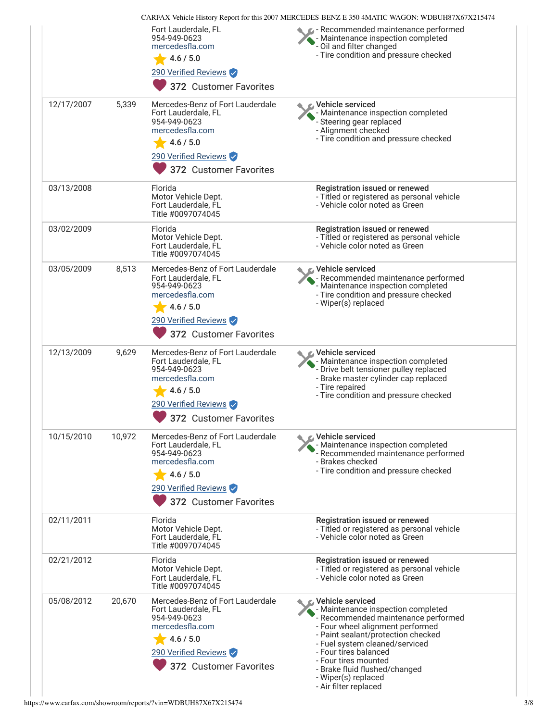|            |        | Fort Lauderdale, FL<br>954-949-0623<br>mercedesfla.com<br>4.6 / 5.0<br>290 Verified Reviews<br>372 Customer Favorites                                     | G - Recommended maintenance performed<br>- Maintenance inspection completed<br>- Oil and filter changed<br>- Tire condition and pressure checked                                                                                                                                                                                          |
|------------|--------|-----------------------------------------------------------------------------------------------------------------------------------------------------------|-------------------------------------------------------------------------------------------------------------------------------------------------------------------------------------------------------------------------------------------------------------------------------------------------------------------------------------------|
| 12/17/2007 | 5,339  | Mercedes-Benz of Fort Lauderdale<br>Fort Lauderdale, FL<br>954-949-0623<br>mercedesfla.com<br>4.6 / 5.0<br>290 Verified Reviews<br>372 Customer Favorites | Vehicle serviced<br>- Maintenance inspection completed<br>- Steering gear replaced<br>- Alignment checked<br>- Tire condition and pressure checked                                                                                                                                                                                        |
| 03/13/2008 |        | Florida<br>Motor Vehicle Dept.<br>Fort Lauderdale, FL<br>Title #0097074045                                                                                | Registration issued or renewed<br>- Titled or registered as personal vehicle<br>- Vehicle color noted as Green                                                                                                                                                                                                                            |
| 03/02/2009 |        | Florida<br>Motor Vehicle Dept.<br>Fort Lauderdale, FL<br>Title #0097074045                                                                                | Registration issued or renewed<br>- Titled or registered as personal vehicle<br>- Vehicle color noted as Green                                                                                                                                                                                                                            |
| 03/05/2009 | 8,513  | Mercedes-Benz of Fort Lauderdale<br>Fort Lauderdale, FL<br>954-949-0623<br>mercedesfla.com<br>4.6 / 5.0<br>290 Verified Reviews<br>372 Customer Favorites | <b>⊘</b> Vehicle serviced<br>- Recommended maintenance performed<br>- Maintenance inspection completed<br>- Tire condition and pressure checked<br>- Wiper(s) replaced                                                                                                                                                                    |
| 12/13/2009 | 9,629  | Mercedes-Benz of Fort Lauderdale<br>Fort Lauderdale, FL<br>954-949-0623<br>mercedesfla.com<br>4.6 / 5.0<br>290 Verified Reviews<br>372 Customer Favorites | <b>€</b> Vehicle serviced<br>Maintenance inspection completed<br>- Drive belt tensioner pulley replaced<br>- Brake master cylinder cap replaced<br>- Tire repaired<br>- Tire condition and pressure checked                                                                                                                               |
| 10/15/2010 | 10,972 | Mercedes-Benz of Fort Lauderdale<br>Fort Lauderdale, FL<br>954-949-0623<br>mercedesfla.com<br>4.6 / 5.0<br>290 Verified Reviews<br>372 Customer Favorites | Vehicle serviced<br>- Maintenance inspection completed<br>- Recommended maintenance performed<br>- Brakes checked<br>- Tire condition and pressure checked                                                                                                                                                                                |
| 02/11/2011 |        | Florida<br>Motor Vehicle Dept.<br>Fort Lauderdale, FL<br>Title #0097074045                                                                                | Registration issued or renewed<br>- Titled or registered as personal vehicle<br>- Vehicle color noted as Green                                                                                                                                                                                                                            |
| 02/21/2012 |        | Florida<br>Motor Vehicle Dept.<br>Fort Lauderdale, FL<br>Title #0097074045                                                                                | Registration issued or renewed<br>- Titled or registered as personal vehicle<br>- Vehicle color noted as Green                                                                                                                                                                                                                            |
| 05/08/2012 | 20,670 | Mercedes-Benz of Fort Lauderdale<br>Fort Lauderdale, FL<br>954-949-0623<br>mercedesfla.com<br>4.6 / 5.0<br>290 Verified Reviews<br>372 Customer Favorites | Vehicle serviced<br>Maintenance inspection completed<br>- Recommended maintenance performed<br>- Four wheel alignment performed<br>- Paint sealant/protection checked<br>- Fuel system cleaned/serviced<br>- Four tires balanced<br>- Four tires mounted<br>- Brake fluid flushed/changed<br>- Wiper(s) replaced<br>- Air filter replaced |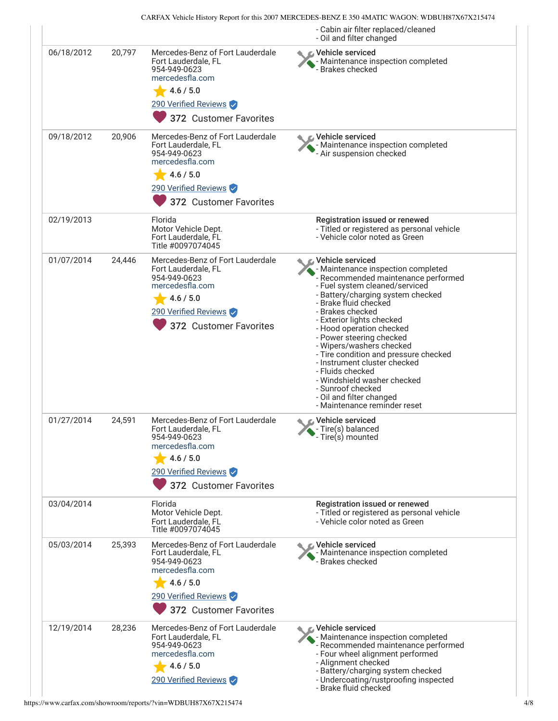|            |        |                                                                                                                                                           | - Cabin air filter replaced/cleaned<br>- Oil and filter changed                                                                                                                                                                                                                                                                                                                                                                                                                                                                                          |
|------------|--------|-----------------------------------------------------------------------------------------------------------------------------------------------------------|----------------------------------------------------------------------------------------------------------------------------------------------------------------------------------------------------------------------------------------------------------------------------------------------------------------------------------------------------------------------------------------------------------------------------------------------------------------------------------------------------------------------------------------------------------|
| 06/18/2012 | 20,797 | Mercedes-Benz of Fort Lauderdale<br>Fort Lauderdale, FL<br>954-949-0623<br>mercedesfla.com<br>4.6 / 5.0<br>290 Verified Reviews<br>372 Customer Favorites | <b>⊘</b> Vehicle serviced<br>- Maintenance inspection completed<br>Brakes checked                                                                                                                                                                                                                                                                                                                                                                                                                                                                        |
| 09/18/2012 | 20,906 | Mercedes-Benz of Fort Lauderdale<br>Fort Lauderdale, FL<br>954-949-0623<br>mercedesfla.com<br>4.6 / 5.0<br>290 Verified Reviews<br>372 Customer Favorites | <b>C</b> Vehicle serviced<br>- Maintenance inspection completed<br>Air suspension checked -                                                                                                                                                                                                                                                                                                                                                                                                                                                              |
| 02/19/2013 |        | Florida<br>Motor Vehicle Dept.<br>Fort Lauderdale, FL<br>Title #0097074045                                                                                | Registration issued or renewed<br>- Titled or registered as personal vehicle<br>- Vehicle color noted as Green                                                                                                                                                                                                                                                                                                                                                                                                                                           |
| 01/07/2014 | 24,446 | Mercedes-Benz of Fort Lauderdale<br>Fort Lauderdale, FL<br>954-949-0623<br>mercedesfla.com<br>4.6 / 5.0<br>290 Verified Reviews<br>372 Customer Favorites | <b>⊘</b> Vehicle serviced<br>- Maintenance inspection completed<br>- Recommended maintenance performed<br>- Fuel system cleaned/serviced<br>- Battery/charging system checked<br>- Brake fluid checked<br>- Brakes checked<br>- Exterior lights checked<br>- Hood operation checked<br>- Power steering checked<br>- Wipers/washers checked<br>- Tire condition and pressure checked<br>- Instrument cluster checked<br>- Fluids checked<br>- Windshield washer checked<br>- Sunroof checked<br>- Oil and filter changed<br>- Maintenance reminder reset |
| 01/27/2014 | 24,591 | Mercedes-Benz of Fort Lauderdale<br>Fort Lauderdale, FL<br>954-949-0623<br>mercedesfla.com<br>4.6 / 5.0<br>290 Verified Reviews<br>372 Customer Favorites | Vehicle serviced<br>- Tire(s) balanced<br>- Tire(s) mounted                                                                                                                                                                                                                                                                                                                                                                                                                                                                                              |
| 03/04/2014 |        | Florida<br>Motor Vehicle Dept.<br>Fort Lauderdale, FL<br>Title #0097074045                                                                                | Registration issued or renewed<br>- Titled or registered as personal vehicle<br>- Vehicle color noted as Green                                                                                                                                                                                                                                                                                                                                                                                                                                           |
| 05/03/2014 | 25,393 | Mercedes-Benz of Fort Lauderdale<br>Fort Lauderdale, FL<br>954-949-0623<br>mercedesfla.com<br>4.6 / 5.0<br>290 Verified Reviews<br>372 Customer Favorites | <b>△ Vehicle serviced</b><br>- Maintenance inspection completed<br><b>Brakes checked</b>                                                                                                                                                                                                                                                                                                                                                                                                                                                                 |
| 12/19/2014 | 28,236 | Mercedes-Benz of Fort Lauderdale<br>Fort Lauderdale, FL<br>954-949-0623<br>mercedesfla.com<br>4.6 / 5.0<br>290 Verified Reviews                           | Vehicle serviced<br>- Maintenance inspection completed<br>- Recommended maintenance performed<br>- Four wheel alignment performed<br>- Alignment checked<br>- Battery/charging system checked<br>- Undercoating/rustproofing inspected<br>- Brake fluid checked                                                                                                                                                                                                                                                                                          |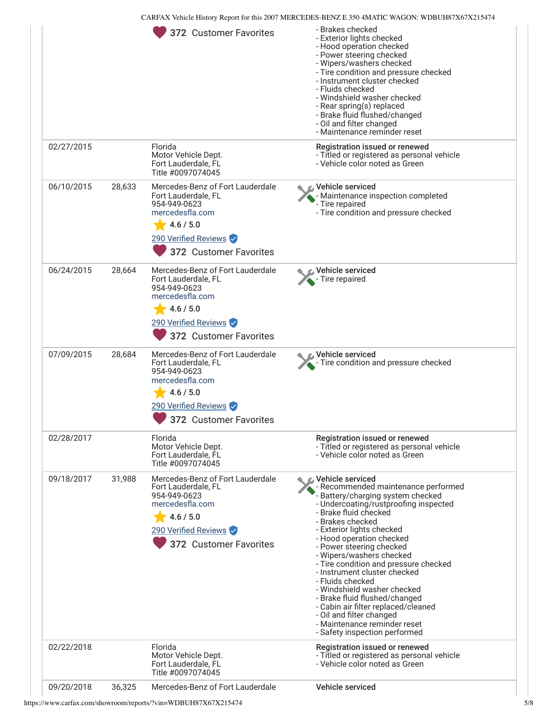|            |        | 372 Customer Favorites                                                                                                                                    | - Brakes checked<br>- Exterior lights checked<br>- Hood operation checked<br>- Power steering checked<br>- Wipers/washers checked<br>- Tire condition and pressure checked<br>- Instrument cluster checked<br>- Fluids checked<br>- Windshield washer checked<br>- Rear spring(s) replaced<br>- Brake fluid flushed/changed<br>- Oil and filter changed<br>- Maintenance reminder reset                                                                                                                                                                                                              |
|------------|--------|-----------------------------------------------------------------------------------------------------------------------------------------------------------|------------------------------------------------------------------------------------------------------------------------------------------------------------------------------------------------------------------------------------------------------------------------------------------------------------------------------------------------------------------------------------------------------------------------------------------------------------------------------------------------------------------------------------------------------------------------------------------------------|
| 02/27/2015 |        | Florida<br>Motor Vehicle Dept.<br>Fort Lauderdale, FL<br>Title #0097074045                                                                                | Registration issued or renewed<br>- Titled or registered as personal vehicle<br>- Vehicle color noted as Green                                                                                                                                                                                                                                                                                                                                                                                                                                                                                       |
| 06/10/2015 | 28,633 | Mercedes-Benz of Fort Lauderdale<br>Fort Lauderdale, FL<br>954-949-0623<br>mercedesfla.com<br>4.6 / 5.0<br>290 Verified Reviews<br>372 Customer Favorites | Vehicle serviced<br>- Maintenance inspection completed<br>- Tire repaired<br>- Tire condition and pressure checked                                                                                                                                                                                                                                                                                                                                                                                                                                                                                   |
| 06/24/2015 | 28,664 | Mercedes-Benz of Fort Lauderdale<br>Fort Lauderdale, FL<br>954-949-0623<br>mercedesfla.com<br>4.6 / 5.0<br>290 Verified Reviews<br>372 Customer Favorites | Vehicle serviced<br>- Tire repaired                                                                                                                                                                                                                                                                                                                                                                                                                                                                                                                                                                  |
| 07/09/2015 | 28,684 | Mercedes-Benz of Fort Lauderdale<br>Fort Lauderdale, FL<br>954-949-0623<br>mercedesfla.com<br>4.6 / 5.0<br>290 Verified Reviews<br>372 Customer Favorites | <b>Vehicle serviced</b><br>- Tire condition and pressure checked                                                                                                                                                                                                                                                                                                                                                                                                                                                                                                                                     |
| 02/28/2017 |        | Florida<br>Motor Vehicle Dept.<br>Fort Lauderdale, FL<br>Title #0097074045                                                                                | Registration issued or renewed<br>- Titled or registered as personal vehicle<br>- Vehicle color noted as Green                                                                                                                                                                                                                                                                                                                                                                                                                                                                                       |
| 09/18/2017 | 31.988 | Mercedes-Benz of Fort Lauderdale<br>Fort Lauderdale, FL<br>954-949-0623<br>mercedesfla.com<br>4.6 / 5.0<br>290 Verified Reviews<br>372 Customer Favorites | C Vehicle serviced<br>- Recommended maintenance performed<br>Battery/charging system checked<br>- Undercoating/rustproofing inspected<br>- Brake fluid checked<br>- Brakes checked<br>- Exterior lights checked<br>- Hood operation checked<br>- Power steering checked<br>- Wipers/washers checked<br>- Tire condition and pressure checked<br>- Instrument cluster checked<br>- Fluids checked<br>- Windshield washer checked<br>- Brake fluid flushed/changed<br>- Cabin air filter replaced/cleaned<br>- Oil and filter changed<br>- Maintenance reminder reset<br>- Safety inspection performed |
| 02/22/2018 |        | Florida<br>Motor Vehicle Dept.<br>Fort Lauderdale, FL<br>Title #0097074045                                                                                | Registration issued or renewed<br>- Titled or registered as personal vehicle<br>- Vehicle color noted as Green                                                                                                                                                                                                                                                                                                                                                                                                                                                                                       |
| 09/20/2018 | 36,325 | Mercedes-Benz of Fort Lauderdale                                                                                                                          | Vehicle serviced                                                                                                                                                                                                                                                                                                                                                                                                                                                                                                                                                                                     |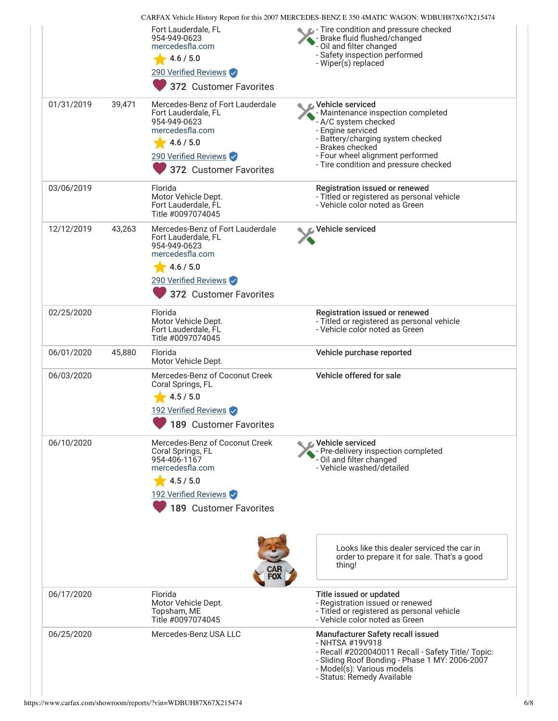|            |        | Fort Lauderdale, FL<br>954-949-0623<br>mercedesfla.com<br>4.6 / 5.0<br>290 Verified Reviews<br>372 Customer Favorites                                     | <b>C</b> - Tire condition and pressure checked<br>- Brake fluid flushed/changed<br>- Oil and filter changed<br>- Safety inspection performed<br>- Wiper(s) replaced                                                                       |
|------------|--------|-----------------------------------------------------------------------------------------------------------------------------------------------------------|-------------------------------------------------------------------------------------------------------------------------------------------------------------------------------------------------------------------------------------------|
| 01/31/2019 | 39,471 | Mercedes-Benz of Fort Lauderdale<br>Fort Lauderdale, FL<br>954-949-0623<br>mercedesfla.com<br>4.6 / 5.0<br>290 Verified Reviews<br>372 Customer Favorites | Vehicle serviced<br>- Maintenance inspection completed<br>- A/C system checked<br>- Engine serviced<br>- Battery/charging system checked<br>- Brakes checked<br>- Four wheel alignment performed<br>- Tire condition and pressure checked |
| 03/06/2019 |        | Florida<br>Motor Vehicle Dept.<br>Fort Lauderdale, FL<br>Title #0097074045                                                                                | Registration issued or renewed<br>- Titled or registered as personal vehicle<br>- Vehicle color noted as Green                                                                                                                            |
| 12/12/2019 | 43,263 | Mercedes-Benz of Fort Lauderdale<br>Fort Lauderdale, FL<br>954-949-0623<br>mercedesfla.com<br>4.6 / 5.0<br>290 Verified Reviews<br>372 Customer Favorites | Vehicle serviced                                                                                                                                                                                                                          |
| 02/25/2020 |        | Florida<br>Motor Vehicle Dept.<br>Fort Lauderdale, FL<br>Title #0097074045                                                                                | Registration issued or renewed<br>- Titled or registered as personal vehicle<br>- Vehicle color noted as Green                                                                                                                            |
| 06/01/2020 | 45,880 | Florida<br>Motor Vehicle Dept.                                                                                                                            | Vehicle purchase reported                                                                                                                                                                                                                 |
| 06/03/2020 |        | Mercedes-Benz of Coconut Creek<br>Coral Springs, FL<br>4.5 / 5.0<br>192 Verified Reviews<br>189 Customer Favorites                                        | Vehicle offered for sale                                                                                                                                                                                                                  |
| 06/10/2020 |        | Mercedes-Benz of Coconut Creek<br>Coral Springs, FL<br>954-406-1167<br>mercedesfla.com<br>4.5 / 5.0<br>192 Verified Reviews<br>189 Customer Favorites     | Vehicle serviced<br>- Pre-delivery inspection completed<br>- Oil and filter changed<br>- Vehicle washed/detailed<br>Looks like this dealer serviced the car in                                                                            |
|            |        |                                                                                                                                                           | order to prepare it for sale. That's a good<br>thing!                                                                                                                                                                                     |
| 06/17/2020 |        | Florida<br>Motor Vehicle Dept.<br>Topsham, ME<br>Title #0097074045                                                                                        | Title issued or updated<br>- Registration issued or renewed<br>- Titled or registered as personal vehicle<br>- Vehicle color noted as Green                                                                                               |
| 06/25/2020 |        | Mercedes-Benz USA LLC                                                                                                                                     | Manufacturer Safety recall issued<br>- NHTSA #19V918<br>- Recall #2020040011 Recall - Safety Title/ Topic:<br>- Sliding Roof Bonding - Phase 1 MY: 2006-2007<br>- Model(s): Various models<br>- Status: Remedy Available                  |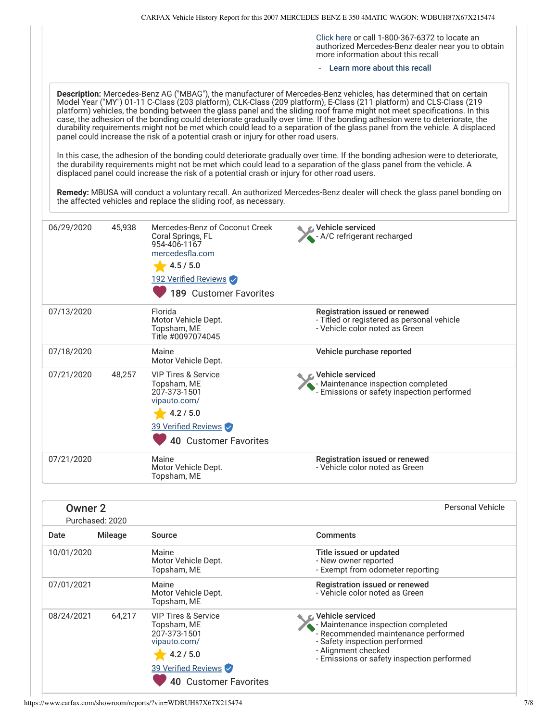|                |                 | 39 Verified Reviews                                                                          |                                                                                                                                                                                                                                                                                                                                                                                      |
|----------------|-----------------|----------------------------------------------------------------------------------------------|--------------------------------------------------------------------------------------------------------------------------------------------------------------------------------------------------------------------------------------------------------------------------------------------------------------------------------------------------------------------------------------|
|                |                 | vipauto.com/<br>4.2 / 5.0                                                                    | - Safety inspection performed<br>- Alignment checked<br>- Emissions or safety inspection performed                                                                                                                                                                                                                                                                                   |
| 08/24/2021     | 64,217          | <b>VIP Tires &amp; Service</b><br>Topsham, ME<br>207-373-1501                                | Vehicle serviced<br>- Maintenance inspection completed<br>- Recommended maintenance performed                                                                                                                                                                                                                                                                                        |
| 07/01/2021     |                 | Maine<br>Motor Vehicle Dept.<br>Topsham, ME                                                  | Registration issued or renewed<br>- Vehicle color noted as Green                                                                                                                                                                                                                                                                                                                     |
| 10/01/2020     |                 | Maine<br>Motor Vehicle Dept.<br>Topsham, ME                                                  | Title issued or updated<br>- New owner reported<br>- Exempt from odometer reporting                                                                                                                                                                                                                                                                                                  |
| Date           | Mileage         | Source                                                                                       | <b>Comments</b>                                                                                                                                                                                                                                                                                                                                                                      |
| <b>Owner 2</b> | Purchased: 2020 |                                                                                              | Personal Vehicle                                                                                                                                                                                                                                                                                                                                                                     |
|                |                 |                                                                                              |                                                                                                                                                                                                                                                                                                                                                                                      |
| 07/21/2020     |                 | Maine<br>Motor Vehicle Dept.<br>Topsham, ME                                                  | Registration issued or renewed<br>- Vehicle color noted as Green                                                                                                                                                                                                                                                                                                                     |
|                |                 | <b>40 Customer Favorites</b>                                                                 |                                                                                                                                                                                                                                                                                                                                                                                      |
|                |                 | 39 Verified Reviews                                                                          |                                                                                                                                                                                                                                                                                                                                                                                      |
|                |                 | vipauto.com/<br>$-4.2/5.0$                                                                   |                                                                                                                                                                                                                                                                                                                                                                                      |
|                |                 | Topsham, ME<br>207-373-1501                                                                  | Haintenance inspection completed<br>- Emissions or safety inspection performed                                                                                                                                                                                                                                                                                                       |
| 07/21/2020     | 48,257          | Motor Vehicle Dept.<br><b>VIP Tires &amp; Service</b>                                        | Vehicle serviced                                                                                                                                                                                                                                                                                                                                                                     |
| 07/18/2020     |                 | Title #0097074045<br>Maine                                                                   | Vehicle purchase reported                                                                                                                                                                                                                                                                                                                                                            |
| 07/13/2020     |                 | Florida<br>Motor Vehicle Dept.<br>Topsham, ME                                                | Registration issued or renewed<br>- Titled or registered as personal vehicle<br>- Vehicle color noted as Green                                                                                                                                                                                                                                                                       |
|                |                 | 189 Customer Favorites                                                                       |                                                                                                                                                                                                                                                                                                                                                                                      |
|                |                 | 192 Verified Reviews                                                                         |                                                                                                                                                                                                                                                                                                                                                                                      |
|                |                 | mercedesfla.com<br>4.5 / 5.0                                                                 |                                                                                                                                                                                                                                                                                                                                                                                      |
| 06/29/2020     | 45,938          | Mercedes-Benz of Coconut Creek<br>Coral Springs, FL<br>954-406-1167                          | Vehicle serviced<br>- A/C refrigerant recharged                                                                                                                                                                                                                                                                                                                                      |
|                |                 | the affected vehicles and replace the sliding roof, as necessary.                            | Remedy: MBUSA will conduct a voluntary recall. An authorized Mercedes-Benz dealer will check the glass panel bonding on                                                                                                                                                                                                                                                              |
|                |                 | displaced panel could increase the risk of a potential crash or injury for other road users. | the durability requirements might not be met which could lead to a separation of the glass panel from the vehicle. A                                                                                                                                                                                                                                                                 |
|                |                 |                                                                                              | In this case, the adhesion of the bonding could deteriorate gradually over time. If the bonding adhesion were to deteriorate,                                                                                                                                                                                                                                                        |
|                |                 | panel could increase the risk of a potential crash or injury for other road users.           | platform) vehicles, the bonding between the glass panel and the sliding roof frame might not meet specifications. In this<br>case, the adhesion of the bonding could deteriorate gradually over time. If the bonding adhesion were to deteriorate, the<br>durability requirements might not be met which could lead to a separation of the glass panel from the vehicle. A displaced |
|                |                 |                                                                                              | Description: Mercedes-Benz AG ("MBAG"), the manufacturer of Mercedes-Benz vehicles, has determined that on certain<br>Model Year ("MY") 01-11 C-Class (203 platform), CLK-Class (209 platform), E-Class (211 platform) and CLS-Class (219                                                                                                                                            |
|                |                 |                                                                                              | Learn more about this recall                                                                                                                                                                                                                                                                                                                                                         |
|                |                 |                                                                                              | authorized Mercedes-Benz dealer near you to obtain<br>more information about this recall                                                                                                                                                                                                                                                                                             |
|                |                 |                                                                                              |                                                                                                                                                                                                                                                                                                                                                                                      |